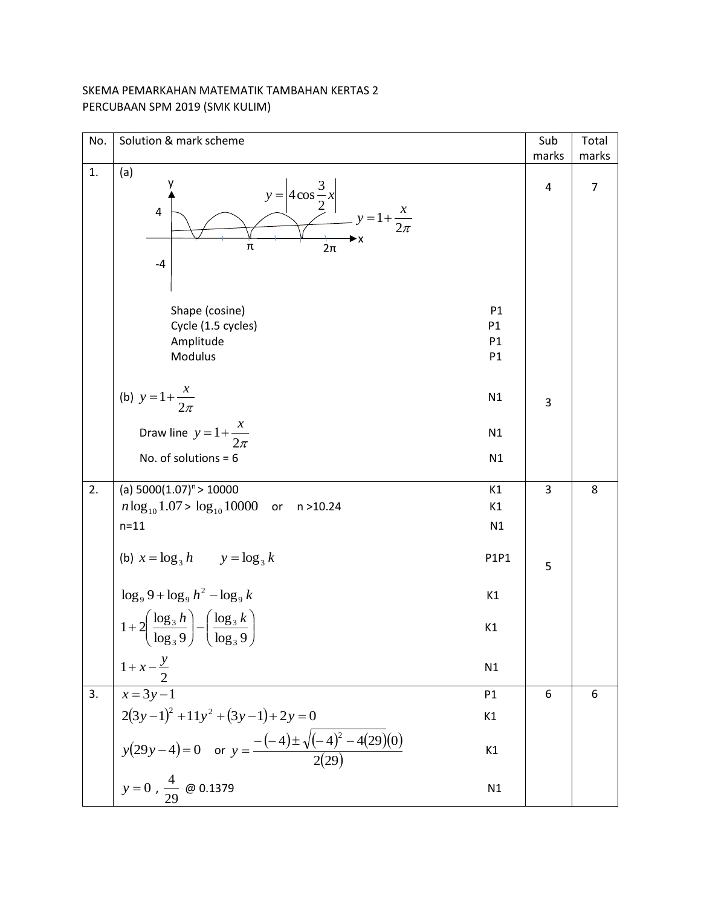## SKEMA PEMARKAHAN MATEMATIK TAMBAHAN KERTAS 2 PERCUBAAN SPM 2019 (SMK KULIM)

| No.              | Solution & mark scheme                                                                                                                                 | Sub   | Total          |
|------------------|--------------------------------------------------------------------------------------------------------------------------------------------------------|-------|----------------|
|                  |                                                                                                                                                        | marks | marks          |
| 1.               | (a)<br>$y = 4 \cos \frac{3}{2} x$<br>$y = 1 + \frac{x}{2\pi}$<br>4<br>π<br>$2\pi$<br>$-4$                                                              | 4     | $\overline{7}$ |
|                  | Shape (cosine)<br>P1<br>Cycle (1.5 cycles)<br>P1<br>Amplitude<br>P1<br>Modulus<br>P1                                                                   |       |                |
|                  | (b) $y = 1 + \frac{x}{2\pi}$<br>N1                                                                                                                     | 3     |                |
|                  | Draw line $y = 1 + \frac{x}{2\pi}$<br>N1                                                                                                               |       |                |
|                  | No. of solutions = $6$<br>N1                                                                                                                           |       |                |
| 2.               | (a) $5000(1.07)^n > 10000$<br>K1                                                                                                                       | 3     | 8              |
|                  | $n \log_{10} 1.07 > \log_{10} 10000$ or n >10.24<br>K1                                                                                                 |       |                |
|                  | N1<br>$n = 11$                                                                                                                                         |       |                |
|                  | (b) $x = \log_3 h$ $y = \log_3 k$<br>P1P1                                                                                                              | 5     |                |
|                  | $\log_9 9 + \log_9 h^2 - \log_9 k$<br>K1                                                                                                               |       |                |
|                  | $1 + 2\left(\frac{\log_3 h}{\log_3 9}\right) - \left(\frac{\log_3 k}{\log_3 9}\right)$<br>K1                                                           |       |                |
|                  | $1+x-\frac{y}{2}$<br>N1                                                                                                                                |       |                |
| $\overline{3}$ . | $\overline{x=3y-1}$<br>P1                                                                                                                              | 6     | 6              |
|                  | K1                                                                                                                                                     |       |                |
|                  | $2(3y-1)^2 +11y^2 + (3y-1) + 2y = 0$<br>$y(29y-4)=0$ or $y = \frac{-(-4) \pm \sqrt{(-4)^2 - 4(29)(0)}}{2(29)}$<br>$y = 0, \frac{4}{29}$ @ 0.1379<br>K1 |       |                |
|                  | N1                                                                                                                                                     |       |                |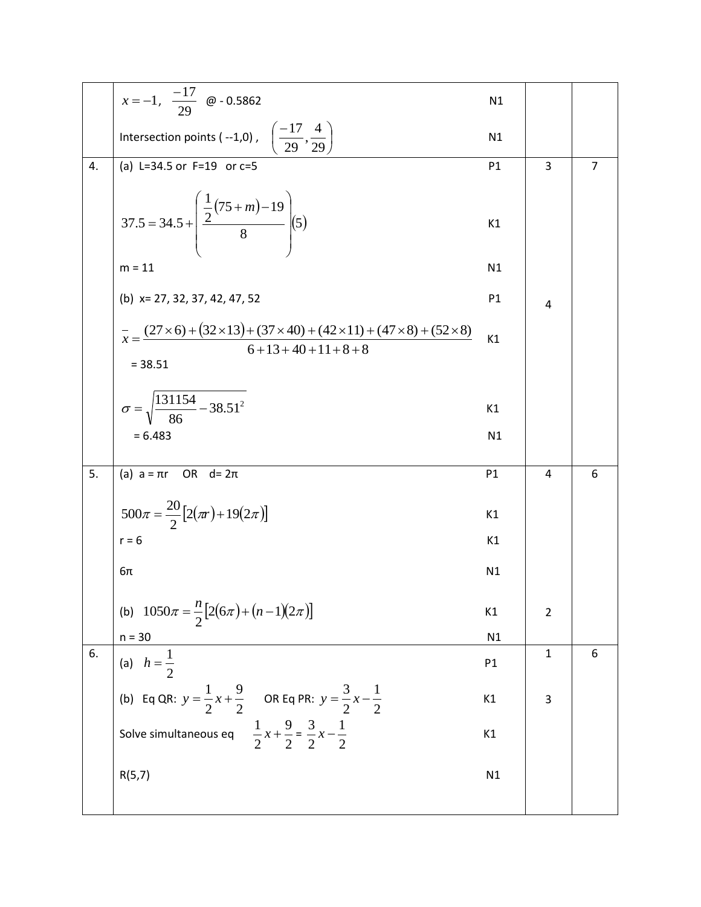|    | $x=-1$ , $\frac{-17}{29}$ @ - 0.5862                                                                                                               | N1             |                |                |
|----|----------------------------------------------------------------------------------------------------------------------------------------------------|----------------|----------------|----------------|
|    | Intersection points (--1,0), $\left(\frac{-17}{29}, \frac{4}{29}\right)$                                                                           | N1             |                |                |
| 4. | (a) L=34.5 or $F=19$ or $c=5$                                                                                                                      | P1             | 3              | $\overline{7}$ |
|    | 37.5 = 34.5 + $\left(\frac{\frac{1}{2}(75+m)-19}{8}\right)$ (5)<br>$m = 11$                                                                        | K1             |                |                |
|    |                                                                                                                                                    | N1             |                |                |
|    | (b) $x= 27, 32, 37, 42, 47, 52$                                                                                                                    | P <sub>1</sub> | 4              |                |
|    | $\overline{x} = \frac{(27 \times 6) + (32 \times 13) + (37 \times 40) + (42 \times 11) + (47 \times 8) + (52 \times 8)}{6 + 13 + 40 + 11 + 8 + 8}$ | K1             |                |                |
|    | $= 38.51$                                                                                                                                          |                |                |                |
|    | $\sigma = \sqrt{\frac{131154}{86} - 38.51^2}$                                                                                                      | K1             |                |                |
|    | $= 6.483$                                                                                                                                          | N1             |                |                |
|    |                                                                                                                                                    |                |                |                |
| 5. | (a) $a = \pi r$ OR $d = 2\pi$                                                                                                                      | P1             | 4              | 6              |
|    | $500\pi = \frac{20}{2} [2(\pi r) + 19(2\pi)]$                                                                                                      | K1             |                |                |
|    | $r = 6$                                                                                                                                            | K1             |                |                |
|    | $6\pi$                                                                                                                                             | N1             |                |                |
|    | (b) $1050\pi = \frac{n}{2} [2(6\pi) + (n-1)(2\pi)]$                                                                                                | K1             | $\overline{2}$ |                |
|    | $n = 30$                                                                                                                                           | N1             |                |                |
| 6. | (a) $h = \frac{1}{2}$                                                                                                                              | P1             | $\mathbf{1}$   | 6              |
|    | (b) Eq QR: $y = \frac{1}{2}x + \frac{9}{2}$ OR Eq PR: $y = \frac{3}{2}x - \frac{1}{2}$                                                             | K1             | 3              |                |
|    | Solve simultaneous eq $\frac{1}{2}x + \frac{9}{2} = \frac{3}{2}x - \frac{1}{2}$                                                                    | K1             |                |                |
|    | R(5,7)                                                                                                                                             | N1             |                |                |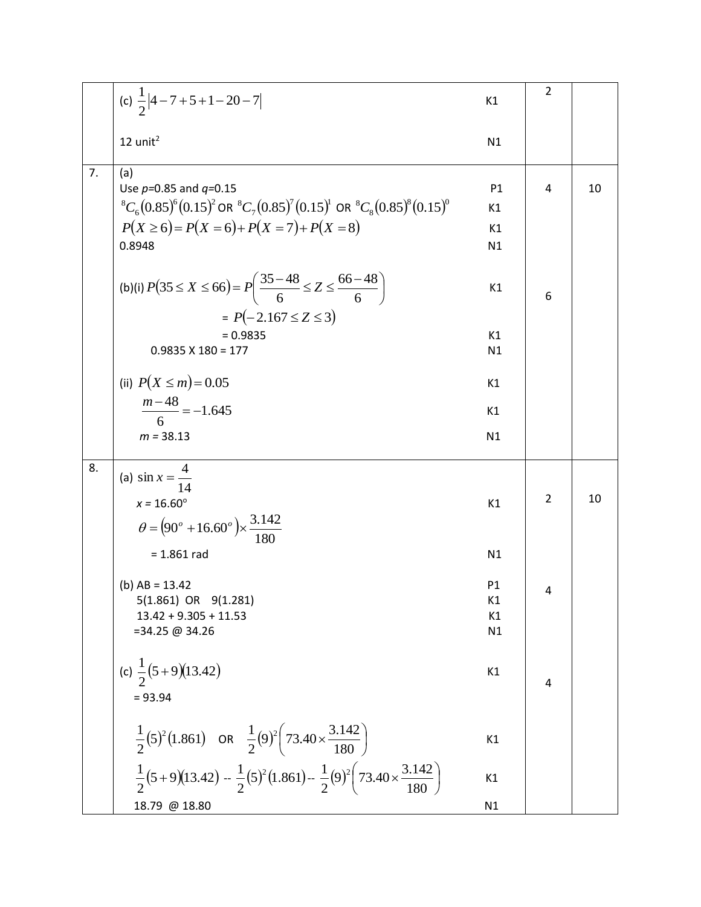|    | (c) $\frac{1}{2} 4-7+5+1-20-7 $                                                                                    | K1 | $\overline{2}$ |    |
|----|--------------------------------------------------------------------------------------------------------------------|----|----------------|----|
|    | $12$ unit <sup>2</sup>                                                                                             | N1 |                |    |
|    |                                                                                                                    |    |                |    |
| 7. | (a)                                                                                                                |    |                |    |
|    | Use $p=0.85$ and $q=0.15$                                                                                          | P1 | 4              | 10 |
|    | ${}^{8}C_{6}(0.85)^{6}(0.15)^{2}$ OR ${}^{8}C_{7}(0.85)^{7}(0.15)^{1}$ OR ${}^{8}C_{8}(0.85)^{8}(0.15)^{0}$        | K1 |                |    |
|    | $P(X \ge 6) = P(X = 6) + P(X = 7) + P(X = 8)$                                                                      | K1 |                |    |
|    | 0.8948                                                                                                             | N1 |                |    |
|    | (b)(i) $P(35 \le X \le 66) = P\left(\frac{35-48}{6} \le Z \le \frac{66-48}{6}\right)$<br>$= P(-2.167 \le Z \le 3)$ | K1 | 6              |    |
|    | $= 0.9835$                                                                                                         | K1 |                |    |
|    | $0.9835 \times 180 = 177$                                                                                          | N1 |                |    |
|    |                                                                                                                    |    |                |    |
|    | (ii) $P(X \le m) = 0.05$                                                                                           | K1 |                |    |
|    | $\frac{m-48}{6} = -1.645$                                                                                          | K1 |                |    |
|    |                                                                                                                    |    |                |    |
|    | $m = 38.13$                                                                                                        | N1 |                |    |
| 8. | (a) $\sin x = \frac{4}{14}$                                                                                        |    |                |    |
|    |                                                                                                                    |    | 2              | 10 |
|    | $x = 16.60^{\circ}$                                                                                                | K1 |                |    |
|    | $heta = (90^\circ + 16.60^\circ) \times \frac{3.142}{100}$                                                         |    |                |    |
|    | $= 1.861$ rad                                                                                                      | N1 |                |    |
|    | (b) $AB = 13.42$                                                                                                   | P1 |                |    |
|    | $5(1.861)$ OR $9(1.281)$                                                                                           | К1 | 4              |    |
|    | $13.42 + 9.305 + 11.53$                                                                                            | K1 |                |    |
|    | $= 34.25 \text{ } \textcircled{a} 34.26$                                                                           | N1 |                |    |
|    |                                                                                                                    |    |                |    |
|    | (c) $\frac{1}{2}(5+9)(13.42)$                                                                                      | K1 |                |    |
|    |                                                                                                                    |    | 4              |    |
|    | $= 93.94$                                                                                                          |    |                |    |
|    | $\frac{1}{2}(5)^2(1.861)$ OR $\frac{1}{2}(9)^2(73.40 \times \frac{3.142}{180})$                                    | K1 |                |    |
|    | $\frac{1}{2}(5+9)(13.42) - \frac{1}{2}(5)^2(1.861) - \frac{1}{2}(9)^2(73.40 \times \frac{3.142}{180})$             | K1 |                |    |
|    | 18.79 @ 18.80                                                                                                      | N1 |                |    |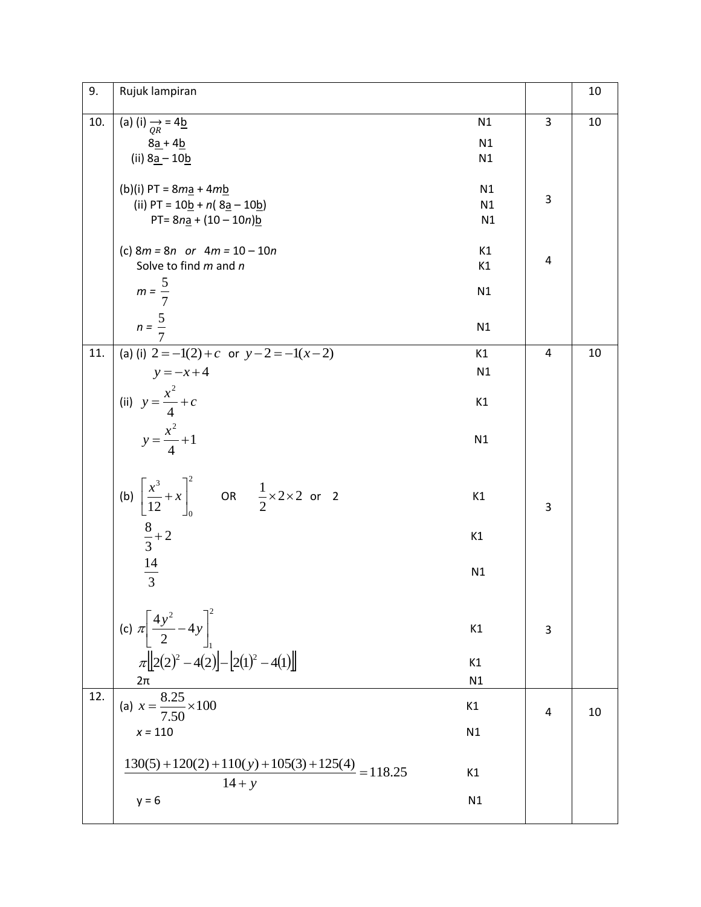| 9.  | Rujuk lampiran                                                                    |    |                | 10 |
|-----|-----------------------------------------------------------------------------------|----|----------------|----|
| 10. | (a) (i) $\frac{\rightarrow}{QR}$ = 4b                                             | N1 | 3              | 10 |
|     | $8a + 4b$                                                                         | N1 |                |    |
|     | (ii) $8a - 10b$                                                                   | N1 |                |    |
|     | (b)(i) $PT = 8m\frac{1}{2} + 4m\frac{1}{2}$                                       | N1 |                |    |
|     | (ii) PT = $10b + n(8a - 10b)$                                                     | N1 | 3              |    |
|     | PT= $8na + (10 - 10n)b$                                                           | N1 |                |    |
|     | (c) $8m = 8n$ or $4m = 10 - 10n$                                                  | K1 |                |    |
|     | Solve to find m and n                                                             | K1 | $\overline{4}$ |    |
|     |                                                                                   |    |                |    |
|     | $m = \frac{5}{7}$                                                                 | N1 |                |    |
|     | $n = \frac{5}{5}$                                                                 | N1 |                |    |
|     |                                                                                   |    |                |    |
| 11. | (a) (i) $2 = -1(2) + c$ or $y - 2 = -1(x - 2)$                                    | K1 | $\overline{4}$ | 10 |
|     | $y = -x + 4$                                                                      | N1 |                |    |
|     | (ii) $y = \frac{x^2}{4} + c$<br>$y = \frac{x^2}{4} + 1$                           | K1 |                |    |
|     |                                                                                   | N1 |                |    |
|     |                                                                                   |    |                |    |
|     | (b) $\left[\frac{x^3}{12} + x\right]_0^2$ OR $\frac{1}{2} \times 2 \times 2$ or 2 | K1 | 3              |    |
|     | $\frac{8}{3}+2$                                                                   | K1 |                |    |
|     | $\frac{14}{3}$                                                                    | N1 |                |    |
|     |                                                                                   |    |                |    |
|     |                                                                                   |    |                |    |
|     | (c) $\pi \left[\frac{4y^2}{2} - 4y\right]_1^2$                                    | K1 | 3              |    |
|     | $\pi\left[\left[2(2)^2-4(2)\right]-\left[2(1)^2-4(1)\right]\right]$               | K1 |                |    |
|     | $2\pi$                                                                            | N1 |                |    |
| 12. | (a) $x = \frac{8.25}{7.50} \times 100$                                            | K1 |                |    |
|     |                                                                                   |    | 4              | 10 |
|     | $x = 110$                                                                         | N1 |                |    |
|     | $\frac{130(5) + 120(2) + 110(y) + 105(3) + 125(4)}{118.25} = 118.25$              | K1 |                |    |
|     | $14 + y$                                                                          |    |                |    |
|     | $y = 6$                                                                           | N1 |                |    |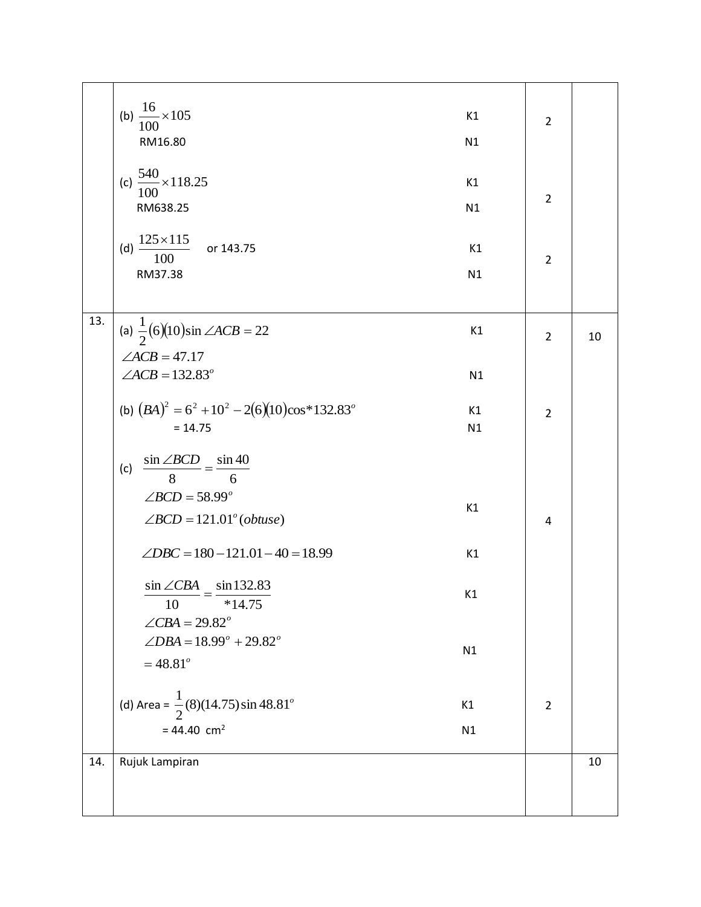|     | (b) $\frac{16}{100} \times 105$<br>K1<br>RM16.80<br>N1                                                                                 | $\overline{2}$                   |    |
|-----|----------------------------------------------------------------------------------------------------------------------------------------|----------------------------------|----|
|     | (c) $\frac{540}{100} \times 118.25$<br>K1<br>RM638.25<br>N1<br>$\frac{125 \times 115}{100}$<br>(d)<br>or 143.75<br>K1<br>RM37.38<br>N1 | $\overline{2}$<br>$\overline{2}$ |    |
| 13. | (a) $\frac{1}{2}$ (6)(10)sin $\angle ACB = 22$<br>K1<br>$\angle ACB = 47.17$<br>$\angle ACB = 132.83^\circ$<br>N1                      | $\overline{2}$                   | 10 |
|     | (b) $(BA)^2 = 6^2 + 10^2 - 2(6)(10)\cos*132.83^\circ$<br>K1<br>$= 14.75$<br>N1                                                         | $\overline{2}$                   |    |
|     | $\frac{\sin \angle BCD}{8} = \frac{\sin 40}{6}$<br>(c)<br>$\angle BCD = 58.99^\circ$<br>K1<br>$\angle BCD = 121.01^{\circ} (obtuse)$   | 4                                |    |
|     | $\angle DBC = 180 - 121.01 - 40 = 18.99$<br>K1                                                                                         |                                  |    |
|     | $\sin \angle CBA$ $\sin 132.83$<br>K1<br>10<br>$*14.75$<br>$\angle$ CBA = 29.82 <sup>o</sup>                                           |                                  |    |
|     | $\angle DBA = 18.99^{\circ} + 29.82^{\circ}$<br>N1<br>$= 48.81^{\circ}$                                                                |                                  |    |
|     | (d) Area = $\frac{1}{2}$ (8)(14.75) sin 48.81 <sup>o</sup><br>K1<br>$= 44.40$ cm <sup>2</sup><br>N1                                    | $\overline{2}$                   |    |
| 14. | Rujuk Lampiran                                                                                                                         |                                  | 10 |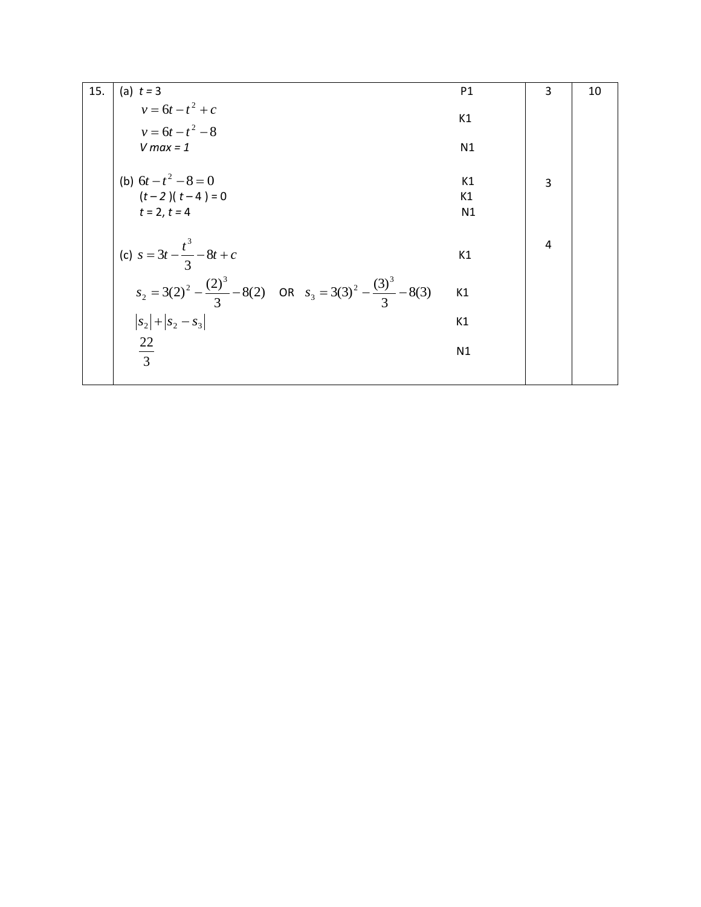| 15. | (a) $t = 3$                                                                        | P1 | 3              | 10 |
|-----|------------------------------------------------------------------------------------|----|----------------|----|
|     | $v = 6t - t^2 + c$<br>$v = 6t - t^2 - 8$                                           | K1 |                |    |
|     | $V$ max = 1                                                                        | N1 |                |    |
|     | (b) $6t - t^2 - 8 = 0$                                                             | K1 | $\overline{3}$ |    |
|     | $(t-2)(t-4) = 0$                                                                   | K1 |                |    |
|     | $t = 2, t = 4$                                                                     | N1 |                |    |
|     | (c) $s = 3t - \frac{t^3}{3} - 8t + c$                                              | K1 | 4              |    |
|     | $s_2 = 3(2)^2 - \frac{(2)^3}{3} - 8(2)$ OR $s_3 = 3(3)^2 - \frac{(3)^3}{3} - 8(3)$ | K1 |                |    |
|     | $ s_2 + s_2-s_3 $                                                                  | K1 |                |    |
|     | $\frac{22}{3}$                                                                     | N1 |                |    |
|     |                                                                                    |    |                |    |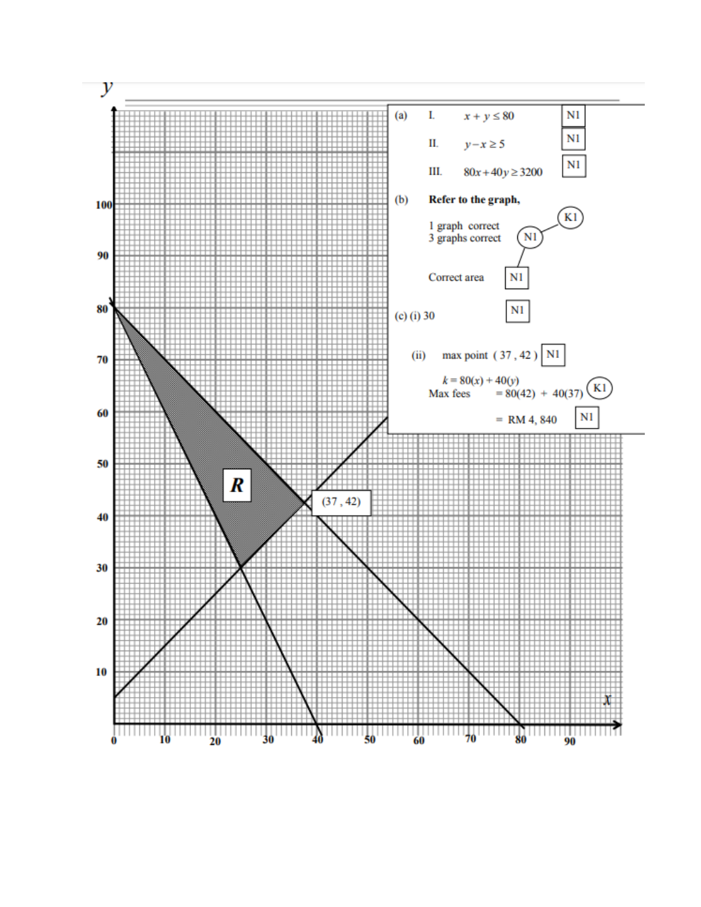